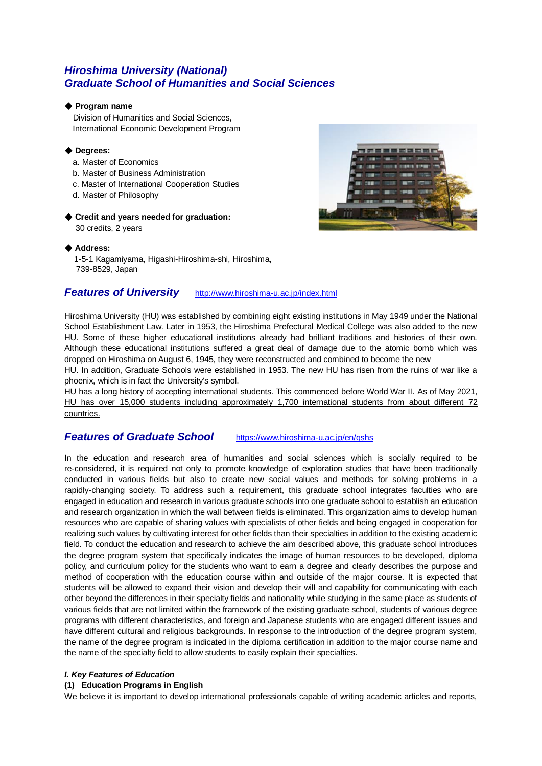# *Hiroshima University (National) Graduate School of Humanities and Social Sciences*

### ◆ **Program name**

 Division of Humanities and Social Sciences, International Economic Development Program

### ◆ **Degrees:**

- a. Master of Economics
- b. Master of Business Administration
- c. Master of International Cooperation Studies
- d. Master of Philosophy

### ◆ **Credit and years needed for graduation:**

30 credits, 2 years



### ◆ **Address:**

1-5-1 Kagamiyama, Higashi-Hiroshima-shi, Hiroshima, 739-8529, Japan

## **Features of University** <http://www.hiroshima-u.ac.jp/index.html>

Hiroshima University (HU) was established by combining eight existing institutions in May 1949 under the National School Establishment Law. Later in 1953, the Hiroshima Prefectural Medical College was also added to the new HU. Some of these higher educational institutions already had brilliant traditions and histories of their own. Although these educational institutions suffered a great deal of damage due to the atomic bomb which was dropped on Hiroshima on August 6, 1945, they were reconstructed and combined to become the new

HU. In addition, Graduate Schools were established in 1953. The new HU has risen from the ruins of war like a phoenix, which is in fact the University's symbol.

HU has a long history of accepting international students. This commenced before World War II. As of May 2021, HU has over 15,000 students including approximately 1,700 international students from about different 72 countries.

## *Features of Graduate School* <https://www.hiroshima-u.ac.jp/en/gshs>

In the education and research area of humanities and social sciences which is socially required to be re-considered, it is required not only to promote knowledge of exploration studies that have been traditionally conducted in various fields but also to create new social values and methods for solving problems in a rapidly-changing society. To address such a requirement, this graduate school integrates faculties who are engaged in education and research in various graduate schools into one graduate school to establish an education and research organization in which the wall between fields is eliminated. This organization aims to develop human resources who are capable of sharing values with specialists of other fields and being engaged in cooperation for realizing such values by cultivating interest for other fields than their specialties in addition to the existing academic field. To conduct the education and research to achieve the aim described above, this graduate school introduces the degree program system that specifically indicates the image of human resources to be developed, diploma policy, and curriculum policy for the students who want to earn a degree and clearly describes the purpose and method of cooperation with the education course within and outside of the major course. It is expected that students will be allowed to expand their vision and develop their will and capability for communicating with each other beyond the differences in their specialty fields and nationality while studying in the same place as students of various fields that are not limited within the framework of the existing graduate school, students of various degree programs with different characteristics, and foreign and Japanese students who are engaged different issues and have different cultural and religious backgrounds. In response to the introduction of the degree program system, the name of the degree program is indicated in the diploma certification in addition to the major course name and the name of the specialty field to allow students to easily explain their specialties.

### *I. Key Features of Education*

#### **(1) Education Programs in English**

We believe it is important to develop international professionals capable of writing academic articles and reports,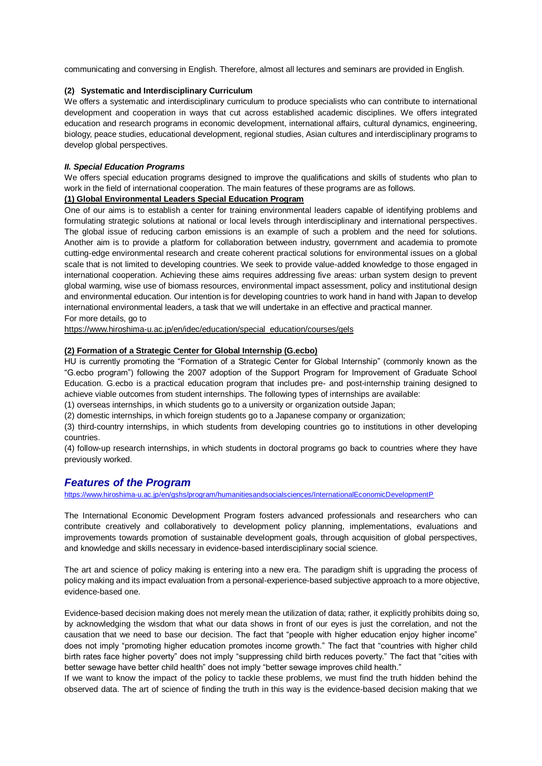communicating and conversing in English. Therefore, almost all lectures and seminars are provided in English.

### **(2) Systematic and Interdisciplinary Curriculum**

We offers a systematic and interdisciplinary curriculum to produce specialists who can contribute to international development and cooperation in ways that cut across established academic disciplines. We offers integrated education and research programs in economic development, international affairs, cultural dynamics, engineering, biology, peace studies, educational development, regional studies, Asian cultures and interdisciplinary programs to develop global perspectives.

### *II. Special Education Programs*

We offers special education programs designed to improve the qualifications and skills of students who plan to work in the field of international cooperation. The main features of these programs are as follows.

### **(1) Global Environmental Leaders Special Education Program**

One of our aims is to establish a center for training environmental leaders capable of identifying problems and formulating strategic solutions at national or local levels through interdisciplinary and international perspectives. The global issue of reducing carbon emissions is an example of such a problem and the need for solutions. Another aim is to provide a platform for collaboration between industry, government and academia to promote cutting-edge environmental research and create coherent practical solutions for environmental issues on a global scale that is not limited to developing countries. We seek to provide value-added knowledge to those engaged in international cooperation. Achieving these aims requires addressing five areas: urban system design to prevent global warming, wise use of biomass resources, environmental impact assessment, policy and institutional design and environmental education. Our intention is for developing countries to work hand in hand with Japan to develop international environmental leaders, a task that we will undertake in an effective and practical manner. For more details, go to

[https://www.hiroshima-u.ac.jp/en/idec/education/special\\_education/courses/gels](https://www.hiroshima-u.ac.jp/en/idec/education/special_education/courses/gels)

### **(2) Formation of a Strategic Center for Global Internship (G.ecbo)**

HU is currently promoting the "Formation of a Strategic Center for Global Internship" (commonly known as the "G.ecbo program") following the 2007 adoption of the Support Program for Improvement of Graduate School Education. G.ecbo is a practical education program that includes pre- and post-internship training designed to achieve viable outcomes from student internships. The following types of internships are available:

(1) overseas internships, in which students go to a university or organization outside Japan;

(2) domestic internships, in which foreign students go to a Japanese company or organization;

(3) third-country internships, in which students from developing countries go to institutions in other developing countries.

(4) follow-up research internships, in which students in doctoral programs go back to countries where they have previously worked.

## *Features of the Program*

<https://www.hiroshima-u.ac.jp/en/gshs/program/humanitiesandsocialsciences/InternationalEconomicDevelopmentP>

The International Economic Development Program fosters advanced professionals and researchers who can contribute creatively and collaboratively to development policy planning, implementations, evaluations and improvements towards promotion of sustainable development goals, through acquisition of global perspectives, and knowledge and skills necessary in evidence-based interdisciplinary social science.

The art and science of policy making is entering into a new era. The paradigm shift is upgrading the process of policy making and its impact evaluation from a personal-experience-based subjective approach to a more objective, evidence-based one.

Evidence-based decision making does not merely mean the utilization of data; rather, it explicitly prohibits doing so, by acknowledging the wisdom that what our data shows in front of our eyes is just the correlation, and not the causation that we need to base our decision. The fact that "people with higher education enjoy higher income" does not imply "promoting higher education promotes income growth." The fact that "countries with higher child birth rates face higher poverty" does not imply "suppressing child birth reduces poverty." The fact that "cities with better sewage have better child health" does not imply "better sewage improves child health."

If we want to know the impact of the policy to tackle these problems, we must find the truth hidden behind the observed data. The art of science of finding the truth in this way is the evidence-based decision making that we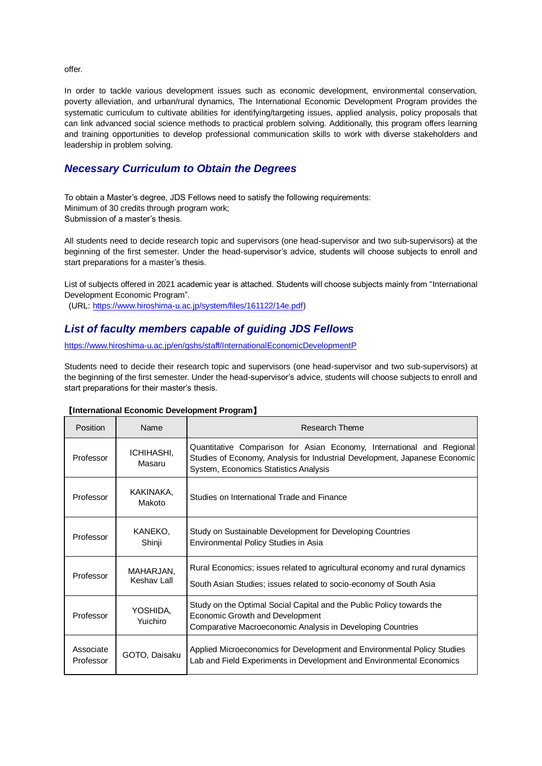offer.

In order to tackle various development issues such as economic development, environmental conservation, poverty alleviation, and urban/rural dynamics, The International Economic Development Program provides the systematic curriculum to cultivate abilities for identifying/targeting issues, applied analysis, policy proposals that can link advanced social science methods to practical problem solving. Additionally, this program offers learning and training opportunities to develop professional communication skills to work with diverse stakeholders and leadership in problem solving.

# *Necessary Curriculum to Obtain the Degrees*

To obtain a Master's degree, JDS Fellows need to satisfy the following requirements: Minimum of 30 credits through program work; Submission of a master's thesis.

All students need to decide research topic and supervisors (one head-supervisor and two sub-supervisors) at the beginning of the first semester. Under the head-supervisor's advice, students will choose subjects to enroll and start preparations for a master's thesis.

List of subjects offered in 2021 academic year is attached. Students will choose subjects mainly from "International Development Economic Program".

(URL: [https://www.hiroshima-u.ac.jp/system/files/161122/14e.pdf\)](https://www.hiroshima-u.ac.jp/system/files/161122/14e.pdf)

# *List of faculty members capable of guiding JDS Fellows*

<https://www.hiroshima-u.ac.jp/en/gshs/staff/InternationalEconomicDevelopmentP>

Students need to decide their research topic and supervisors (one head-supervisor and two sub-supervisors) at the beginning of the first semester. Under the head-supervisor's advice, students will choose subjects to enroll and start preparations for their master's thesis.

| Position               | Name                     | Research Theme                                                                                                                                                                               |
|------------------------|--------------------------|----------------------------------------------------------------------------------------------------------------------------------------------------------------------------------------------|
| Professor              | ICHIHASHI,<br>Masaru     | Quantitative Comparison for Asian Economy, International and Regional<br>Studies of Economy, Analysis for Industrial Development, Japanese Economic<br>System, Economics Statistics Analysis |
| Professor              | KAKINAKA,<br>Makoto      | Studies on International Trade and Finance                                                                                                                                                   |
| Professor              | KANEKO.<br>Shinji        | Study on Sustainable Development for Developing Countries<br>Environmental Policy Studies in Asia                                                                                            |
| Professor              | MAHARJAN,<br>Keshav Lall | Rural Economics; issues related to agricultural economy and rural dynamics<br>South Asian Studies; issues related to socio-economy of South Asia                                             |
| Professor              | YOSHIDA,<br>Yuichiro     | Study on the Optimal Social Capital and the Public Policy towards the<br>Economic Growth and Development<br>Comparative Macroeconomic Analysis in Developing Countries                       |
| Associate<br>Professor | GOTO, Daisaku            | Applied Microeconomics for Development and Environmental Policy Studies<br>Lab and Field Experiments in Development and Environmental Economics                                              |

### 【**International Economic Development Program**】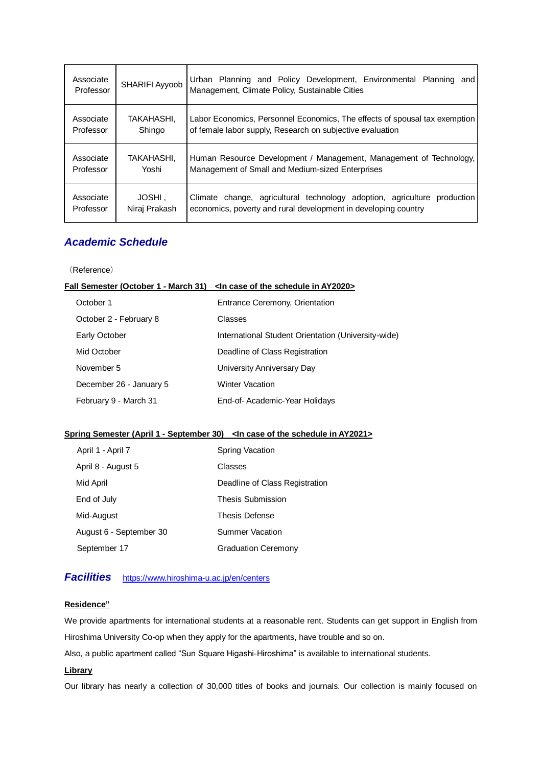| Associate<br>Professor | SHARIFI Ayyoob | Urban Planning and Policy Development, Environmental Planning<br>and<br>Management, Climate Policy, Sustainable Cities |
|------------------------|----------------|------------------------------------------------------------------------------------------------------------------------|
| Associate              | TAKAHASHI.     | Labor Economics, Personnel Economics, The effects of spousal tax exemption                                             |
| Professor              | Shingo         | of female labor supply, Research on subjective evaluation                                                              |
| Associate              | TAKAHASHI,     | Human Resource Development / Management, Management of Technology,                                                     |
| Professor              | Yoshi          | Management of Small and Medium-sized Enterprises                                                                       |
| Associate              | JOSHI,         | Climate change, agricultural technology adoption, agriculture production                                               |
| Professor              | Niraj Prakash  | economics, poverty and rural development in developing country                                                         |

# *Academic Schedule*

(Reference)

### **Fall Semester (October 1 - March 31)** <In case of the schedule in AY2020>

| October 1               | Entrance Ceremony, Orientation                      |
|-------------------------|-----------------------------------------------------|
| October 2 - February 8  | Classes                                             |
| Early October           | International Student Orientation (University-wide) |
| Mid October             | Deadline of Class Registration                      |
| November 5              | University Anniversary Day                          |
| December 26 - January 5 | <b>Winter Vacation</b>                              |
| February 9 - March 31   | End-of-Academic-Year Holidays                       |

## **Spring Semester (April 1 - September 30) <In case of the schedule in AY2021>**

| April 1 - April 7       | Spring Vacation                |
|-------------------------|--------------------------------|
| April 8 - August 5      | Classes                        |
| Mid April               | Deadline of Class Registration |
| End of July             | <b>Thesis Submission</b>       |
| Mid-August              | <b>Thesis Defense</b>          |
| August 6 - September 30 | Summer Vacation                |
| September 17            | <b>Graduation Ceremony</b>     |

# *Facilities* <https://www.hiroshima-u.ac.jp/en/centers>

### **Residence"**

We provide apartments for international students at a reasonable rent. Students can get support in English from Hiroshima University Co-op when they apply for the apartments, have trouble and so on.

Also, a public apartment called "Sun Square Higashi-Hiroshima" is available to international students.

### **Library**

Our library has nearly a collection of 30,000 titles of books and journals. Our collection is mainly focused on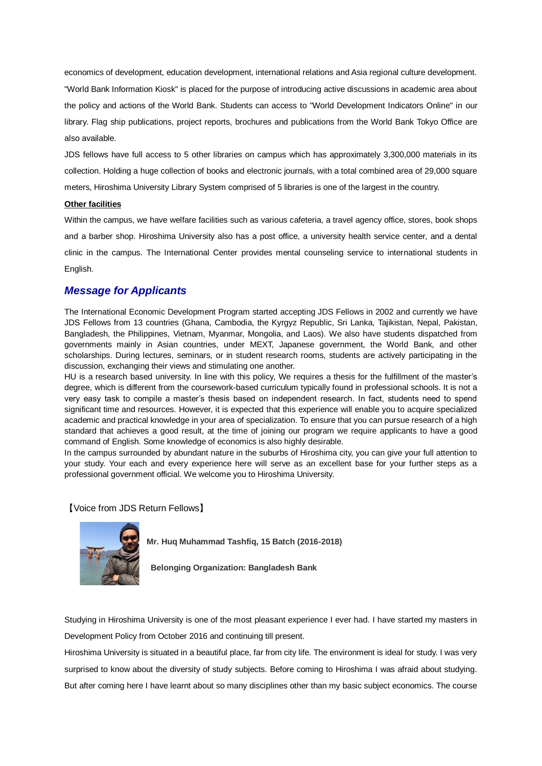economics of development, education development, international relations and Asia regional culture development. "World Bank Information Kiosk" is placed for the purpose of introducing active discussions in academic area about the policy and actions of the World Bank. Students can access to "World Development Indicators Online" in our library. Flag ship publications, project reports, brochures and publications from the World Bank Tokyo Office are also available.

JDS fellows have full access to 5 other libraries on campus which has approximately 3,300,000 materials in its collection. Holding a huge collection of books and electronic journals, with a total combined area of 29,000 square meters, Hiroshima University Library System comprised of 5 libraries is one of the largest in the country.

#### **Other facilities**

Within the campus, we have welfare facilities such as various cafeteria, a travel agency office, stores, book shops and a barber shop. Hiroshima University also has a post office, a university health service center, and a dental clinic in the campus. The International Center provides mental counseling service to international students in English.

## *Message for Applicants*

The International Economic Development Program started accepting JDS Fellows in 2002 and currently we have JDS Fellows from 13 countries (Ghana, Cambodia, the Kyrgyz Republic, Sri Lanka, Tajikistan, Nepal, Pakistan, Bangladesh, the Philippines, Vietnam, Myanmar, Mongolia, and Laos). We also have students dispatched from governments mainly in Asian countries, under MEXT, Japanese government, the World Bank, and other scholarships. During lectures, seminars, or in student research rooms, students are actively participating in the discussion, exchanging their views and stimulating one another.

HU is a research based university. In line with this policy, We requires a thesis for the fulfillment of the master's degree, which is different from the coursework-based curriculum typically found in professional schools. It is not a very easy task to compile a master's thesis based on independent research. In fact, students need to spend significant time and resources. However, it is expected that this experience will enable you to acquire specialized academic and practical knowledge in your area of specialization. To ensure that you can pursue research of a high standard that achieves a good result, at the time of joining our program we require applicants to have a good command of English. Some knowledge of economics is also highly desirable.

In the campus surrounded by abundant nature in the suburbs of Hiroshima city, you can give your full attention to your study. Your each and every experience here will serve as an excellent base for your further steps as a professional government official. We welcome you to Hiroshima University.

【Voice from JDS Return Fellows】



**Mr. Huq Muhammad Tashfiq, 15 Batch (2016-2018)**

**Belonging Organization: Bangladesh Bank**

Studying in Hiroshima University is one of the most pleasant experience I ever had. I have started my masters in Development Policy from October 2016 and continuing till present.

Hiroshima University is situated in a beautiful place, far from city life. The environment is ideal for study. I was very surprised to know about the diversity of study subjects. Before coming to Hiroshima I was afraid about studying. But after coming here I have learnt about so many disciplines other than my basic subject economics. The course